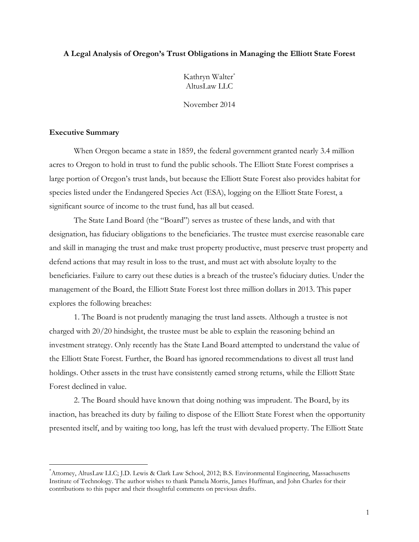### **A Legal Analysis of Oregon's Trust Obligations in Managing the Elliott State Forest**

Kathryn Walter\* AltusLaw LLC

November 2014

### **Executive Summary**

When Oregon became a state in 1859, the federal government granted nearly 3.4 million acres to Oregon to hold in trust to fund the public schools. The Elliott State Forest comprises a large portion of Oregon's trust lands, but because the Elliott State Forest also provides habitat for species listed under the Endangered Species Act (ESA), logging on the Elliott State Forest, a significant source of income to the trust fund, has all but ceased.

The State Land Board (the "Board") serves as trustee of these lands, and with that designation, has fiduciary obligations to the beneficiaries. The trustee must exercise reasonable care and skill in managing the trust and make trust property productive, must preserve trust property and defend actions that may result in loss to the trust, and must act with absolute loyalty to the beneficiaries. Failure to carry out these duties is a breach of the trustee's fiduciary duties. Under the management of the Board, the Elliott State Forest lost three million dollars in 2013. This paper explores the following breaches:

1. The Board is not prudently managing the trust land assets. Although a trustee is not charged with 20/20 hindsight, the trustee must be able to explain the reasoning behind an investment strategy. Only recently has the State Land Board attempted to understand the value of the Elliott State Forest. Further, the Board has ignored recommendations to divest all trust land holdings. Other assets in the trust have consistently earned strong returns, while the Elliott State Forest declined in value.

2. The Board should have known that doing nothing was imprudent. The Board, by its inaction, has breached its duty by failing to dispose of the Elliott State Forest when the opportunity presented itself, and by waiting too long, has left the trust with devalued property. The Elliott State

<sup>\*</sup>Attorney, AltusLaw LLC; J.D. Lewis & Clark Law School, 2012; B.S. Environmental Engineering, Massachusetts Institute of Technology. The author wishes to thank Pamela Morris, James Huffman, and John Charles for their contributions to this paper and their thoughtful comments on previous drafts.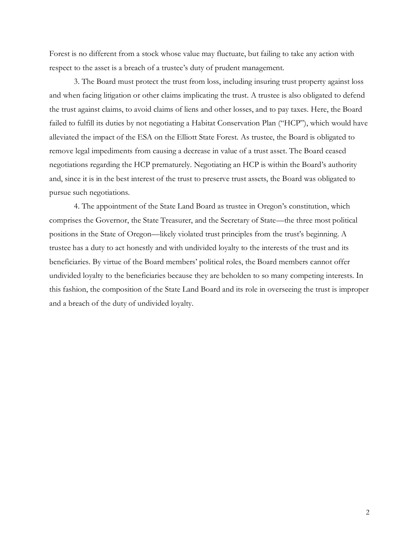Forest is no different from a stock whose value may fluctuate, but failing to take any action with respect to the asset is a breach of a trustee's duty of prudent management.

3. The Board must protect the trust from loss, including insuring trust property against loss and when facing litigation or other claims implicating the trust. A trustee is also obligated to defend the trust against claims, to avoid claims of liens and other losses, and to pay taxes. Here, the Board failed to fulfill its duties by not negotiating a Habitat Conservation Plan ("HCP"), which would have alleviated the impact of the ESA on the Elliott State Forest. As trustee, the Board is obligated to remove legal impediments from causing a decrease in value of a trust asset. The Board ceased negotiations regarding the HCP prematurely. Negotiating an HCP is within the Board's authority and, since it is in the best interest of the trust to preserve trust assets, the Board was obligated to pursue such negotiations.

4. The appointment of the State Land Board as trustee in Oregon's constitution, which comprises the Governor, the State Treasurer, and the Secretary of State—the three most political positions in the State of Oregon—likely violated trust principles from the trust's beginning. A trustee has a duty to act honestly and with undivided loyalty to the interests of the trust and its beneficiaries. By virtue of the Board members' political roles, the Board members cannot offer undivided loyalty to the beneficiaries because they are beholden to so many competing interests. In this fashion, the composition of the State Land Board and its role in overseeing the trust is improper and a breach of the duty of undivided loyalty.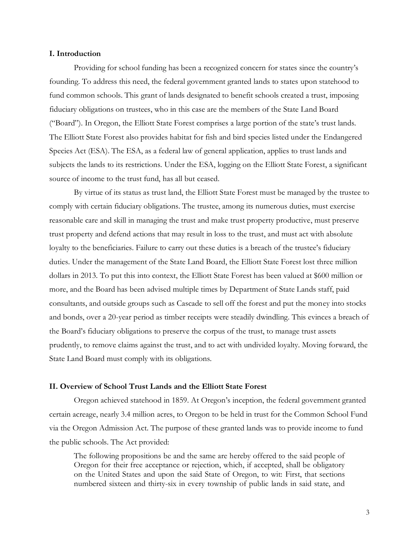### **I. Introduction**

Providing for school funding has been a recognized concern for states since the country's founding. To address this need, the federal government granted lands to states upon statehood to fund common schools. This grant of lands designated to benefit schools created a trust, imposing fiduciary obligations on trustees, who in this case are the members of the State Land Board ("Board"). In Oregon, the Elliott State Forest comprises a large portion of the state's trust lands. The Elliott State Forest also provides habitat for fish and bird species listed under the Endangered Species Act (ESA). The ESA, as a federal law of general application, applies to trust lands and subjects the lands to its restrictions. Under the ESA, logging on the Elliott State Forest, a significant source of income to the trust fund, has all but ceased.

By virtue of its status as trust land, the Elliott State Forest must be managed by the trustee to comply with certain fiduciary obligations. The trustee, among its numerous duties, must exercise reasonable care and skill in managing the trust and make trust property productive, must preserve trust property and defend actions that may result in loss to the trust, and must act with absolute loyalty to the beneficiaries. Failure to carry out these duties is a breach of the trustee's fiduciary duties. Under the management of the State Land Board, the Elliott State Forest lost three million dollars in 2013. To put this into context, the Elliott State Forest has been valued at \$600 million or more, and the Board has been advised multiple times by Department of State Lands staff, paid consultants, and outside groups such as Cascade to sell off the forest and put the money into stocks and bonds, over a 20-year period as timber receipts were steadily dwindling. This evinces a breach of the Board's fiduciary obligations to preserve the corpus of the trust, to manage trust assets prudently, to remove claims against the trust, and to act with undivided loyalty. Moving forward, the State Land Board must comply with its obligations.

#### **II. Overview of School Trust Lands and the Elliott State Forest**

Oregon achieved statehood in 1859. At Oregon's inception, the federal government granted certain acreage, nearly 3.4 million acres, to Oregon to be held in trust for the Common School Fund via the Oregon Admission Act. The purpose of these granted lands was to provide income to fund the public schools. The Act provided:

The following propositions be and the same are hereby offered to the said people of Oregon for their free acceptance or rejection, which, if accepted, shall be obligatory on the United States and upon the said State of Oregon, to wit: First, that sections numbered sixteen and thirty-six in every township of public lands in said state, and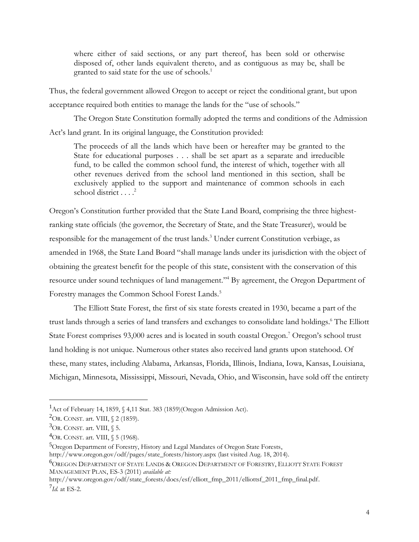where either of said sections, or any part thereof, has been sold or otherwise disposed of, other lands equivalent thereto, and as contiguous as may be, shall be granted to said state for the use of schools.<sup>1</sup>

Thus, the federal government allowed Oregon to accept or reject the conditional grant, but upon acceptance required both entities to manage the lands for the "use of schools."

The Oregon State Constitution formally adopted the terms and conditions of the Admission Act's land grant. In its original language, the Constitution provided:

The proceeds of all the lands which have been or hereafter may be granted to the State for educational purposes . . . shall be set apart as a separate and irreducible fund, to be called the common school fund, the interest of which, together with all other revenues derived from the school land mentioned in this section, shall be exclusively applied to the support and maintenance of common schools in each school district . . . . 2

Oregon's Constitution further provided that the State Land Board, comprising the three highestranking state officials (the governor, the Secretary of State, and the State Treasurer), would be responsible for the management of the trust lands.<sup>3</sup> Under current Constitution verbiage, as amended in 1968, the State Land Board "shall manage lands under its jurisdiction with the object of obtaining the greatest benefit for the people of this state, consistent with the conservation of this resource under sound techniques of land management." <sup>4</sup> By agreement, the Oregon Department of Forestry manages the Common School Forest Lands.<sup>5</sup>

The Elliott State Forest, the first of six state forests created in 1930, became a part of the trust lands through a series of land transfers and exchanges to consolidate land holdings. <sup>6</sup> The Elliott State Forest comprises 93,000 acres and is located in south coastal Oregon.<sup>7</sup> Oregon's school trust land holding is not unique. Numerous other states also received land grants upon statehood. Of these, many states, including Alabama, Arkansas, Florida, Illinois, Indiana, Iowa, Kansas, Louisiana, Michigan, Minnesota, Mississippi, Missouri, Nevada, Ohio, and Wisconsin, have sold off the entirety

 $1$ Act of February 14, 1859, § 4,11 Stat. 383 (1859)(Oregon Admission Act).

<sup>2</sup>OR. CONST. art. VIII, § 2 (1859).

 ${}^{3}$ OR. CONST. art. VIII,  $\S$  5.

<sup>4</sup>OR. CONST. art. VIII, § 5 (1968).

<sup>5</sup>Oregon Department of Forestry, History and Legal Mandates of Oregon State Forests,

http://www.oregon.gov/odf/pages/state\_forests/history.aspx (last visited Aug. 18, 2014).

<sup>6</sup>OREGON DEPARTMENT OF STATE LANDS & OREGON DEPARTMENT OF FORESTRY, ELLIOTT STATE FOREST MANAGEMENT PLAN, ES-3 (2011) *available at:*

http://www.oregon.gov/odf/state\_forests/docs/esf/elliott\_fmp\_2011/elliottsf\_2011\_fmp\_final.pdf. 7 *Id.* at ES-2.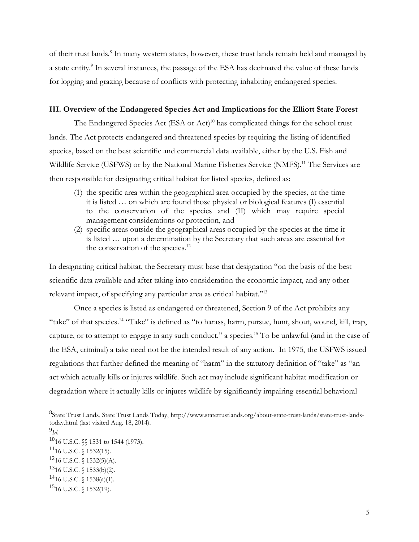of their trust lands.<sup>8</sup> In many western states, however, these trust lands remain held and managed by a state entity.<sup>9</sup> In several instances, the passage of the ESA has decimated the value of these lands for logging and grazing because of conflicts with protecting inhabiting endangered species.

# **III. Overview of the Endangered Species Act and Implications for the Elliott State Forest**

The Endangered Species Act (ESA or Act)<sup>10</sup> has complicated things for the school trust lands. The Act protects endangered and threatened species by requiring the listing of identified species, based on the best scientific and commercial data available, either by the U.S. Fish and Wildlife Service (USFWS) or by the National Marine Fisheries Service (NMFS). <sup>11</sup> The Services are then responsible for designating critical habitat for listed species, defined as:

- (1) the specific area within the geographical area occupied by the species, at the time it is listed … on which are found those physical or biological features (I) essential to the conservation of the species and (II) which may require special management considerations or protection, and
- (2) specific areas outside the geographical areas occupied by the species at the time it is listed … upon a determination by the Secretary that such areas are essential for the conservation of the species.<sup>12</sup>

In designating critical habitat, the Secretary must base that designation "on the basis of the best scientific data available and after taking into consideration the economic impact, and any other relevant impact, of specifying any particular area as critical habitat."<sup>13</sup>

Once a species is listed as endangered or threatened, Section 9 of the Act prohibits any "take" of that species.<sup>14</sup> "Take" is defined as "to harass, harm, pursue, hunt, shout, wound, kill, trap, capture, or to attempt to engage in any such conduct," a species.<sup>15</sup> To be unlawful (and in the case of the ESA, criminal) a take need not be the intended result of any action. In 1975, the USFWS issued regulations that further defined the meaning of "harm" in the statutory definition of "take" as "an act which actually kills or injures wildlife. Such act may include significant habitat modification or degradation where it actually kills or injures wildlife by significantly impairing essential behavioral

 $^{11}$ 16 U.S.C. § 1532(15).

<sup>8</sup> State Trust Lands, State Trust Lands Today, http://www.statetrustlands.org/about-state-trust-lands/state-trust-landstoday.html (last visited Aug. 18, 2014).

<sup>9</sup> *Id.*

 $^{10}16$  U.S.C.  $\S$  1531 to 1544 (1973).

 $12_{16}$  U.S.C. § 1532(5)(A).

 $13$ 16 U.S.C.  $\{(1533(b)(2))$ .

 $14$ 16 U.S.C. § 1538(a)(1).

 $15$ <sub>16</sub> U.S.C. § 1532(19).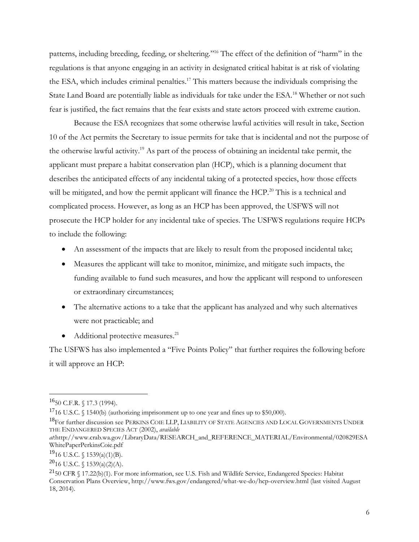patterns, including breeding, feeding, or sheltering." <sup>16</sup> The effect of the definition of "harm" in the regulations is that anyone engaging in an activity in designated critical habitat is at risk of violating the ESA, which includes criminal penalties.<sup>17</sup> This matters because the individuals comprising the State Land Board are potentially liable as individuals for take under the ESA.<sup>18</sup> Whether or not such fear is justified, the fact remains that the fear exists and state actors proceed with extreme caution.

Because the ESA recognizes that some otherwise lawful activities will result in take, Section 10 of the Act permits the Secretary to issue permits for take that is incidental and not the purpose of the otherwise lawful activity.<sup>19</sup> As part of the process of obtaining an incidental take permit, the applicant must prepare a habitat conservation plan (HCP), which is a planning document that describes the anticipated effects of any incidental taking of a protected species, how those effects will be mitigated, and how the permit applicant will finance the HCP.<sup>20</sup> This is a technical and complicated process. However, as long as an HCP has been approved, the USFWS will not prosecute the HCP holder for any incidental take of species. The USFWS regulations require HCPs to include the following:

- An assessment of the impacts that are likely to result from the proposed incidental take;
- Measures the applicant will take to monitor, minimize, and mitigate such impacts, the funding available to fund such measures, and how the applicant will respond to unforeseen or extraordinary circumstances;
- The alternative actions to a take that the applicant has analyzed and why such alternatives were not practicable; and
- $\bullet$  Additional protective measures.<sup>21</sup>

The USFWS has also implemented a "Five Points Policy" that further requires the following before it will approve an HCP:

<sup>16</sup>50 C.F.R. § 17.3 (1994).

<sup>&</sup>lt;sup>17</sup>16 U.S.C. § 1540(b) (authorizing imprisonment up to one year and fines up to \$50,000).

<sup>&</sup>lt;sup>18</sup>For further discussion see PERKINS COIE LLP, LIABILITY OF STATE AGENCIES AND LOCAL GOVERNMENTS UNDER THE ENDANGERED SPECIES ACT (2002), *available* 

*at*:http://www.crab.wa.gov/LibraryData/RESEARCH\_and\_REFERENCE\_MATERIAL/Environmental/020829ESA WhitePaperPerkinsCoie.pdf

 $^{19}$ 16 U.S.C. § 1539(a)(1)(B).

 $^{20}$ 16 U.S.C. § 1539(a)(2)(A).

 $^{21}$ 50 CFR § 17.22(b)(1). For more information, see U.S. Fish and Wildlife Service, Endangered Species: Habitat Conservation Plans Overview, http://www.fws.gov/endangered/what-we-do/hcp-overview.html (last visited August 18, 2014).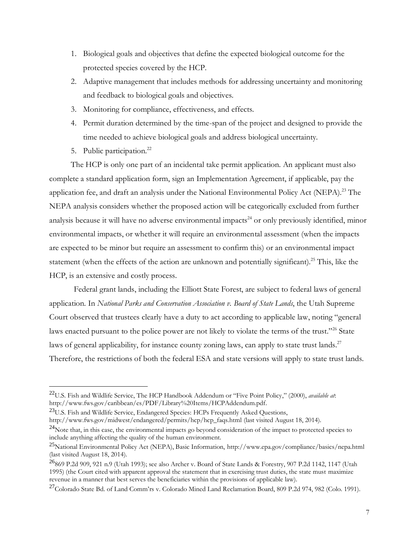- 1. Biological goals and objectives that define the expected biological outcome for the protected species covered by the HCP.
- 2. Adaptive management that includes methods for addressing uncertainty and monitoring and feedback to biological goals and objectives.
- 3. Monitoring for compliance, effectiveness, and effects.
- 4. Permit duration determined by the time-span of the project and designed to provide the time needed to achieve biological goals and address biological uncertainty.
- 5. Public participation. $^{22}$

The HCP is only one part of an incidental take permit application. An applicant must also complete a standard application form, sign an Implementation Agreement, if applicable, pay the application fee, and draft an analysis under the National Environmental Policy Act (NEPA).<sup>23</sup> The NEPA analysis considers whether the proposed action will be categorically excluded from further analysis because it will have no adverse environmental impacts<sup>24</sup> or only previously identified, minor environmental impacts, or whether it will require an environmental assessment (when the impacts are expected to be minor but require an assessment to confirm this) or an environmental impact statement (when the effects of the action are unknown and potentially significant).<sup>25</sup> This, like the HCP, is an extensive and costly process.

Federal grant lands, including the Elliott State Forest, are subject to federal laws of general application. In *National Parks and Conservation Association v. Board of State Lands*, the Utah Supreme Court observed that trustees clearly have a duty to act according to applicable law, noting "general laws enacted pursuant to the police power are not likely to violate the terms of the trust."<sup>26</sup> State laws of general applicability, for instance county zoning laws, can apply to state trust lands.<sup>27</sup> Therefore, the restrictions of both the federal ESA and state versions will apply to state trust lands.

<sup>22</sup>U.S. Fish and Wildlife Service, The HCP Handbook Addendum or "Five Point Policy," (2000), *available at*: http://www.fws.gov/caribbean/es/PDF/Library%20Items/HCPAddendum.pdf.

<sup>&</sup>lt;sup>23</sup>U.S. Fish and Wildlife Service, Endangered Species: HCPs Frequently Asked Questions,

http://www.fws.gov/midwest/endangered/permits/hcp/hcp\_faqs.html (last visited August 18, 2014).

<sup>&</sup>lt;sup>24</sup>Note that, in this case, the environmental impacts go beyond consideration of the impact to protected species to include anything affecting the quality of the human environment.

<sup>25</sup>National Environmental Policy Act (NEPA), Basic Information, http://www.epa.gov/compliance/basics/nepa.html (last visited August 18, 2014).

<sup>26</sup>869 P.2d 909, 921 n.9 (Utah 1993); see also Archer v. Board of State Lands & Forestry, 907 P.2d 1142, 1147 (Utah 1995) (the Court cited with apparent approval the statement that in exercising trust duties, the state must maximize revenue in a manner that best serves the beneficiaries within the provisions of applicable law).

<sup>&</sup>lt;sup>27</sup>Colorado State Bd. of Land Comm'rs v. Colorado Mined Land Reclamation Board, 809 P.2d 974, 982 (Colo. 1991).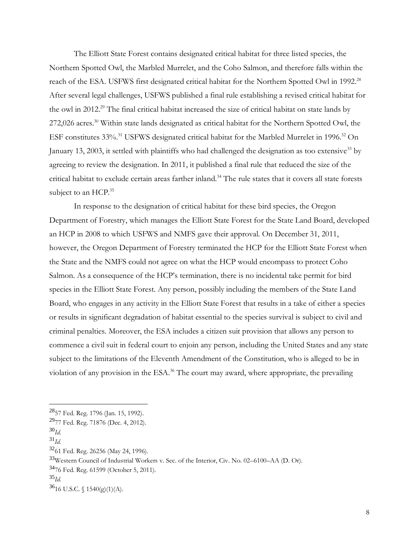The Elliott State Forest contains designated critical habitat for three listed species, the Northern Spotted Owl, the Marbled Murrelet, and the Coho Salmon, and therefore falls within the reach of the ESA. USFWS first designated critical habitat for the Northern Spotted Owl in 1992.<sup>28</sup> After several legal challenges, USFWS published a final rule establishing a revised critical habitat for the owl in 2012. <sup>29</sup> The final critical habitat increased the size of critical habitat on state lands by 272,026 acres.<sup>30</sup> Within state lands designated as critical habitat for the Northern Spotted Owl, the ESF constitutes 33%.<sup>31</sup> USFWS designated critical habitat for the Marbled Murrelet in 1996.<sup>32</sup> On January 13, 2003, it settled with plaintiffs who had challenged the designation as too extensive<sup>33</sup> by agreeing to review the designation. In 2011, it published a final rule that reduced the size of the critical habitat to exclude certain areas farther inland.<sup>34</sup> The rule states that it covers all state forests subject to an HCP.<sup>35</sup>

In response to the designation of critical habitat for these bird species, the Oregon Department of Forestry, which manages the Elliott State Forest for the State Land Board, developed an HCP in 2008 to which USFWS and NMFS gave their approval. On December 31, 2011, however, the Oregon Department of Forestry terminated the HCP for the Elliott State Forest when the State and the NMFS could not agree on what the HCP would encompass to protect Coho Salmon. As a consequence of the HCP's termination, there is no incidental take permit for bird species in the Elliott State Forest. Any person, possibly including the members of the State Land Board, who engages in any activity in the Elliott State Forest that results in a take of either a species or results in significant degradation of habitat essential to the species survival is subject to civil and criminal penalties. Moreover, the ESA includes a citizen suit provision that allows any person to commence a civil suit in federal court to enjoin any person, including the United States and any state subject to the limitations of the Eleventh Amendment of the Constitution, who is alleged to be in violation of any provision in the ESA.<sup>36</sup> The court may award, where appropriate, the prevailing

<sup>28</sup>57 Fed. Reg. 1796 (Jan. 15, 1992).

<sup>29</sup>77 Fed. Reg. 71876 (Dec. 4, 2012).

<sup>30</sup>*Id.*

<sup>31</sup>*Id.*

<sup>32</sup>61 Fed. Reg. 26256 (May 24, 1996).

<sup>33</sup>Western Council of Industrial Workers v. Sec. of the Interior, Civ. No. 02–6100–AA (D. Or).

<sup>34</sup>76 Fed. Reg. 61599 (October 5, 2011).

<sup>35</sup>*Id.*

 $36$ <sub>16</sub> U.S.C. § 1540(g)(1)(A).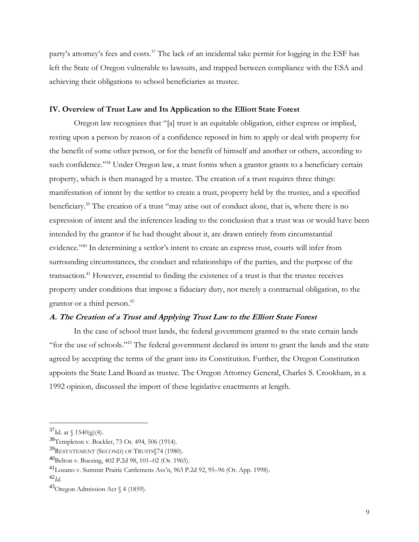party's attorney's fees and costs.<sup>37</sup> The lack of an incidental take permit for logging in the ESF has left the State of Oregon vulnerable to lawsuits, and trapped between compliance with the ESA and achieving their obligations to school beneficiaries as trustee.

# **IV. Overview of Trust Law and Its Application to the Elliott State Forest**

Oregon law recognizes that "[a] trust is an equitable obligation, either express or implied, resting upon a person by reason of a confidence reposed in him to apply or deal with property for the benefit of some other person, or for the benefit of himself and another or others, according to such confidence."<sup>38</sup> Under Oregon law, a trust forms when a grantor grants to a beneficiary certain property, which is then managed by a trustee. The creation of a trust requires three things: manifestation of intent by the settlor to create a trust, property held by the trustee, and a specified beneficiary.<sup>39</sup> The creation of a trust "may arise out of conduct alone, that is, where there is no expression of intent and the inferences leading to the conclusion that a trust was or would have been intended by the grantor if he had thought about it, are drawn entirely from circumstantial evidence."<sup>40</sup> In determining a settlor's intent to create an express trust, courts will infer from surrounding circumstances, the conduct and relationships of the parties, and the purpose of the transaction.<sup>41</sup> However, essential to finding the existence of a trust is that the trustee receives property under conditions that impose a fiduciary duty, not merely a contractual obligation, to the grantor or a third person. 42

### **A. The Creation of a Trust and Applying Trust Law to the Elliott State Forest**

In the case of school trust lands, the federal government granted to the state certain lands "for the use of schools."<sup>43</sup> The federal government declared its intent to grant the lands and the state agreed by accepting the terms of the grant into its Constitution. Further, the Oregon Constitution appoints the State Land Board as trustee. The Oregon Attorney General, Charles S. Crookham, in a 1992 opinion, discussed the import of these legislative enactments at length.

 $37$ Id. at  $\{(1540)$ (g)(4).

<sup>38</sup>Templeton v. Bockler, 73 Or. 494, 506 (1914).

<sup>39</sup>RESTATEMENT (SECOND) OF TRUSTS 574 (1980).

<sup>40</sup>Belton v. Buesing, 402 P.2d 98, 101–02 (Or. 1965).

<sup>41</sup>Lozano v. Summit Prairie Cattlemens Ass'n, 963 P.2d 92, 95–96 (Or. App. 1998).

<sup>42</sup>*Id.*

 $^{43}$ Oregon Admission Act § 4 (1859).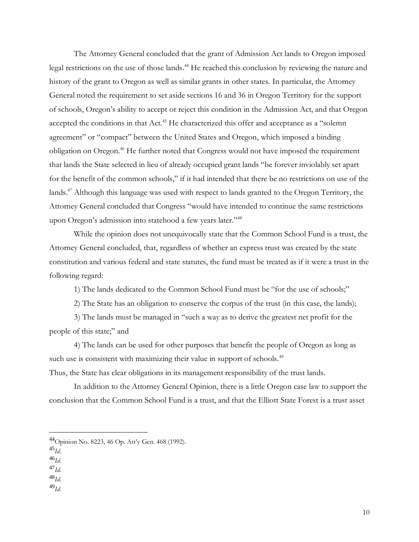The Attorney General concluded that the grant of Admission Act lands to Oregon imposed legal restrictions on the use of those lands. <sup>44</sup> He reached this conclusion by reviewing the nature and history of the grant to Oregon as well as similar grants in other states. In particular, the Attorney General noted the requirement to set aside sections 16 and 36 in Oregon Territory for the support of schools, Oregon's ability to accept or reject this condition in the Admission Act, and that Oregon accepted the conditions in that Act.<sup>45</sup> He characterized this offer and acceptance as a "solemn agreement" or "compact" between the United States and Oregon, which imposed a binding obligation on Oregon.<sup>46</sup> He further noted that Congress would not have imposed the requirement that lands the State selected in lieu of already occupied grant lands "be forever inviolably set apart for the benefit of the common schools," if it had intended that there be no restrictions on use of the lands.<sup>47</sup> Although this language was used with respect to lands granted to the Oregon Territory, the Attorney General concluded that Congress "would have intended to continue the same restrictions upon Oregon's admission into statehood a few years later."<sup>48</sup>

While the opinion does not unequivocally state that the Common School Fund is a trust, the Attorney General concluded, that, regardless of whether an express trust was created by the state constitution and various federal and state statutes, the fund must be treated as if it were a trust in the following regard:

1) The lands dedicated to the Common School Fund must be "for the use of schools;"

2) The State has an obligation to conserve the corpus of the trust (in this case, the lands);

3) The lands must be managed in "such a way as to derive the greatest net profit for the people of this state;" and

4) The lands can be used for other purposes that benefit the people of Oregon as long as such use is consistent with maximizing their value in support of schools.<sup>49</sup>

Thus, the State has clear obligations in its management responsibility of the trust lands.

In addition to the Attorney General Opinion, there is a little Oregon case law to support the conclusion that the Common School Fund is a trust, and that the Elliott State Forest is a trust asset

 $^{45}$ *Id.* 

<sup>46</sup>*Id.*

<sup>47</sup>*Id.*

<sup>48</sup>*Id.*

<sup>49</sup>*Id.*

<sup>44</sup>Opinion No. 8223, 46 Op. Att'y Gen. 468 (1992).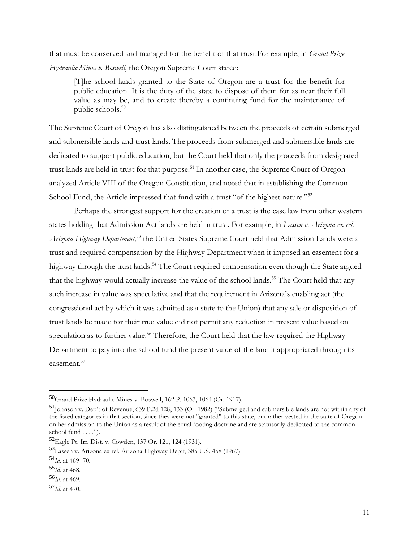that must be conserved and managed for the benefit of that trust.For example, in *Grand Prize Hydraulic Mines v. Boswell*, the Oregon Supreme Court stated:

[T]he school lands granted to the State of Oregon are a trust for the benefit for public education. It is the duty of the state to dispose of them for as near their full value as may be, and to create thereby a continuing fund for the maintenance of public schools.<sup>50</sup>

The Supreme Court of Oregon has also distinguished between the proceeds of certain submerged and submersible lands and trust lands. The proceeds from submerged and submersible lands are dedicated to support public education, but the Court held that only the proceeds from designated trust lands are held in trust for that purpose.<sup>51</sup> In another case, the Supreme Court of Oregon analyzed Article VIII of the Oregon Constitution, and noted that in establishing the Common School Fund, the Article impressed that fund with a trust "of the highest nature."<sup>52</sup>

Perhaps the strongest support for the creation of a trust is the case law from other western states holding that Admission Act lands are held in trust. For example, in *Lassen v. Arizona ex rel. Arizona Highway Department*, <sup>53</sup> the United States Supreme Court held that Admission Lands were a trust and required compensation by the Highway Department when it imposed an easement for a highway through the trust lands.<sup>54</sup> The Court required compensation even though the State argued that the highway would actually increase the value of the school lands.<sup>55</sup> The Court held that any such increase in value was speculative and that the requirement in Arizona's enabling act (the congressional act by which it was admitted as a state to the Union) that any sale or disposition of trust lands be made for their true value did not permit any reduction in present value based on speculation as to further value.<sup>56</sup> Therefore, the Court held that the law required the Highway Department to pay into the school fund the present value of the land it appropriated through its easement.<sup>57</sup>

<sup>50</sup>Grand Prize Hydraulic Mines v. Boswell, 162 P. 1063, 1064 (Or. 1917).

<sup>51</sup>Johnson v. Dep't of Revenue, 639 P.2d 128, 133 (Or. 1982) ("Submerged and submersible lands are not within any of the listed categories in that section, since they were not "granted" to this state, but rather vested in the state of Oregon on her admission to the Union as a result of the equal footing doctrine and are statutorily dedicated to the common school fund . . . .").

<sup>52</sup>Eagle Pt. Irr. Dist. v. Cowden, 137 Or. 121, 124 (1931).

<sup>53</sup>Lassen v. Arizona ex rel. Arizona Highway Dep't, 385 U.S. 458 (1967).

<sup>54</sup>*Id.* at 469–70.

<sup>55</sup>*Id.* at 468.

<sup>56</sup>*Id.* at 469.

<sup>57</sup>*Id.* at 470.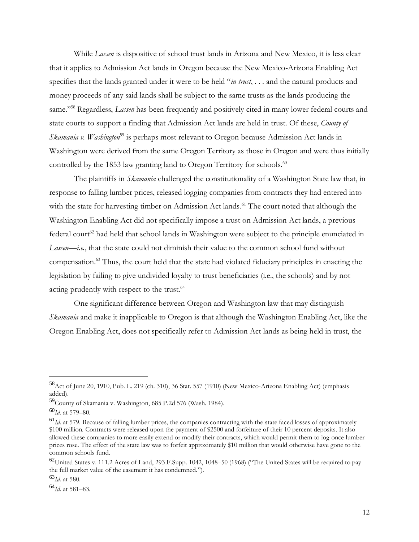While *Lassen* is dispositive of school trust lands in Arizona and New Mexico, it is less clear that it applies to Admission Act lands in Oregon because the New Mexico-Arizona Enabling Act specifies that the lands granted under it were to be held "*in trust*, . . . and the natural products and money proceeds of any said lands shall be subject to the same trusts as the lands producing the same."<sup>58</sup> Regardless, *Lassen* has been frequently and positively cited in many lower federal courts and state courts to support a finding that Admission Act lands are held in trust. Of these, *County of Skamania v. Washington*<sup>59</sup> is perhaps most relevant to Oregon because Admission Act lands in Washington were derived from the same Oregon Territory as those in Oregon and were thus initially controlled by the 1853 law granting land to Oregon Territory for schools.<sup>60</sup>

The plaintiffs in *Skamania* challenged the constitutionality of a Washington State law that, in response to falling lumber prices, released logging companies from contracts they had entered into with the state for harvesting timber on Admission Act lands.<sup>61</sup> The court noted that although the Washington Enabling Act did not specifically impose a trust on Admission Act lands, a previous federal court<sup>62</sup> had held that school lands in Washington were subject to the principle enunciated in *Lassen*—*i.e.*, that the state could not diminish their value to the common school fund without compensation.<sup>63</sup> Thus, the court held that the state had violated fiduciary principles in enacting the legislation by failing to give undivided loyalty to trust beneficiaries (i.e., the schools) and by not acting prudently with respect to the trust.<sup>64</sup>

One significant difference between Oregon and Washington law that may distinguish *Skamania* and make it inapplicable to Oregon is that although the Washington Enabling Act, like the Oregon Enabling Act, does not specifically refer to Admission Act lands as being held in trust, the

<sup>58</sup>Act of June 20, 1910, Pub. L. 219 (ch. 310), 36 Stat. 557 (1910) (New Mexico-Arizona Enabling Act) (emphasis added).

<sup>59</sup>County of Skamania v. Washington, 685 P.2d 576 (Wash. 1984).

<sup>60</sup>*Id.* at 579–80.

<sup>61</sup>*Id.* at 579. Because of falling lumber prices, the companies contracting with the state faced losses of approximately \$100 million. Contracts were released upon the payment of \$2500 and forfeiture of their 10 percent deposits. It also allowed these companies to more easily extend or modify their contracts, which would permit them to log once lumber prices rose. The effect of the state law was to forfeit approximately \$10 million that would otherwise have gone to the common schools fund.

 $^{62}$ United States v. 111.2 Acres of Land, 293 F.Supp. 1042, 1048–50 (1968) ("The United States will be required to pay the full market value of the easement it has condemned.").

<sup>63</sup>*Id.* at 580.

<sup>64</sup>*Id.* at 581–83.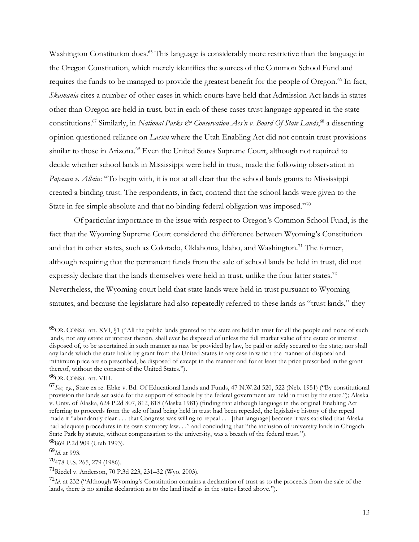Washington Constitution does.<sup>65</sup> This language is considerably more restrictive than the language in the Oregon Constitution, which merely identifies the sources of the Common School Fund and requires the funds to be managed to provide the greatest benefit for the people of Oregon.<sup>66</sup> In fact, *Skamania* cites a number of other cases in which courts have held that Admission Act lands in states other than Oregon are held in trust, but in each of these cases trust language appeared in the state constitutions.<sup>67</sup> Similarly, in *National Parks & Conservation Ass'n v. Board Of State Lands*, <sup>68</sup> a dissenting opinion questioned reliance on *Lassen* where the Utah Enabling Act did not contain trust provisions similar to those in Arizona.<sup>69</sup> Even the United States Supreme Court, although not required to decide whether school lands in Mississippi were held in trust, made the following observation in *Papasan v. Allain*: "To begin with, it is not at all clear that the school lands grants to Mississippi created a binding trust. The respondents, in fact, contend that the school lands were given to the State in fee simple absolute and that no binding federal obligation was imposed."<sup>70</sup>

Of particular importance to the issue with respect to Oregon's Common School Fund, is the fact that the Wyoming Supreme Court considered the difference between Wyoming's Constitution and that in other states, such as Colorado, Oklahoma, Idaho, and Washington.<sup>71</sup> The former, although requiring that the permanent funds from the sale of school lands be held in trust, did not expressly declare that the lands themselves were held in trust, unlike the four latter states.<sup>72</sup> Nevertheless, the Wyoming court held that state lands were held in trust pursuant to Wyoming statutes, and because the legislature had also repeatedly referred to these lands as "trust lands," they

<sup>69</sup>*Id.* at 993.

<sup>65</sup>OR. CONST. art. XVI, §1 ("All the public lands granted to the state are held in trust for all the people and none of such lands, nor any estate or interest therein, shall ever be disposed of unless the full market value of the estate or interest disposed of, to be ascertained in such manner as may be provided by law, be paid or safely secured to the state; nor shall any lands which the state holds by grant from the United States in any case in which the manner of disposal and minimum price are so prescribed, be disposed of except in the manner and for at least the price prescribed in the grant thereof, without the consent of the United States.").

<sup>66</sup>OR. CONST. art. VIII.

<sup>67</sup>*See, e.g.*, State ex re. Ebke v. Bd. Of Educational Lands and Funds, 47 N.W.2d 520, 522 (Neb. 1951) ("By constitutional provision the lands set aside for the support of schools by the federal government are held in trust by the state."); Alaska v. Univ. of Alaska, 624 P.2d 807, 812, 818 (Alaska 1981) (finding that although language in the original Enabling Act referring to proceeds from the sale of land being held in trust had been repealed, the legislative history of the repeal made it "abundantly clear . . . that Congress was willing to repeal . . . [that language] because it was satisfied that Alaska had adequate procedures in its own statutory law. . ." and concluding that "the inclusion of university lands in Chugach State Park by statute, without compensation to the university, was a breach of the federal trust.").

<sup>68</sup>869 P.2d 909 (Utah 1993).

<sup>70</sup>478 U.S. 265, 279 (1986).

<sup>71</sup>Riedel v. Anderson, 70 P.3d 223, 231–32 (Wyo. 2003).

<sup>72</sup>*Id.* at 232 ("Although Wyoming's Constitution contains a declaration of trust as to the proceeds from the sale of the lands, there is no similar declaration as to the land itself as in the states listed above.").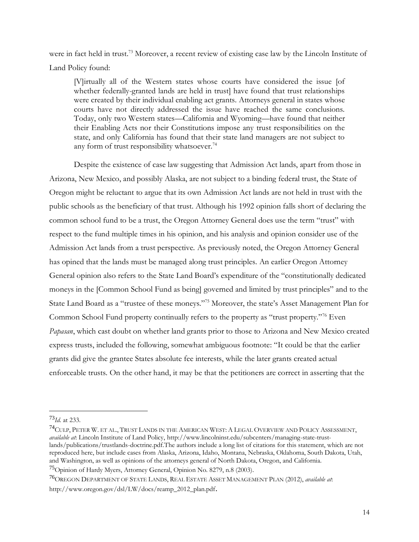were in fact held in trust.<sup>73</sup> Moreover, a recent review of existing case law by the Lincoln Institute of Land Policy found:

[V]irtually all of the Western states whose courts have considered the issue [of whether federally-granted lands are held in trust have found that trust relationships were created by their individual enabling act grants. Attorneys general in states whose courts have not directly addressed the issue have reached the same conclusions. Today, only two Western states—California and Wyoming—have found that neither their Enabling Acts nor their Constitutions impose any trust responsibilities on the state, and only California has found that their state land managers are not subject to any form of trust responsibility whatsoever.<sup>74</sup>

Despite the existence of case law suggesting that Admission Act lands, apart from those in Arizona, New Mexico, and possibly Alaska, are not subject to a binding federal trust, the State of Oregon might be reluctant to argue that its own Admission Act lands are not held in trust with the public schools as the beneficiary of that trust. Although his 1992 opinion falls short of declaring the common school fund to be a trust, the Oregon Attorney General does use the term "trust" with respect to the fund multiple times in his opinion, and his analysis and opinion consider use of the Admission Act lands from a trust perspective. As previously noted, the Oregon Attorney General has opined that the lands must be managed along trust principles. An earlier Oregon Attorney General opinion also refers to the State Land Board's expenditure of the "constitutionally dedicated moneys in the [Common School Fund as being] governed and limited by trust principles" and to the State Land Board as a "trustee of these moneys."<sup>75</sup> Moreover, the state's Asset Management Plan for Common School Fund property continually refers to the property as "trust property."<sup>76</sup> Even *Papasan*, which cast doubt on whether land grants prior to those to Arizona and New Mexico created express trusts, included the following, somewhat ambiguous footnote: "It could be that the earlier grants did give the grantee States absolute fee interests, while the later grants created actual enforceable trusts. On the other hand, it may be that the petitioners are correct in asserting that the

<sup>73</sup>*Id.* at 233.

<sup>74</sup>CULP, PETER W. ET AL., TRUST LANDS IN THE AMERICAN WEST: A LEGAL OVERVIEW AND POLICY ASSESSMENT, *available at*: Lincoln Institute of Land Policy[, http://www.lincolninst.edu/subcenters/managing-state-trust](http://www.lincolninst.edu/subcenters/managing-state-trust-lands/publications/trustlands-doctrine.pdf)[lands/publications/trustlands-doctrine.pdf.](http://www.lincolninst.edu/subcenters/managing-state-trust-lands/publications/trustlands-doctrine.pdf)The authors include a long list of citations for this statement, which are not reproduced here, but include cases from Alaska, Arizona, Idaho, Montana, Nebraska, Oklahoma, South Dakota, Utah, and Washington, as well as opinions of the attorneys general of North Dakota, Oregon, and California.

<sup>75</sup>Opinion of Hardy Myers, Attorney General, Opinion No. 8279, n.8 (2003).

<sup>76</sup>OREGON DEPARTMENT OF STATE LANDS, REAL ESTATE ASSET MANAGEMENT PLAN (2012), *available at*:

http://www.oregon.gov/dsl/LW/docs/reamp\_2012\_plan.pdf.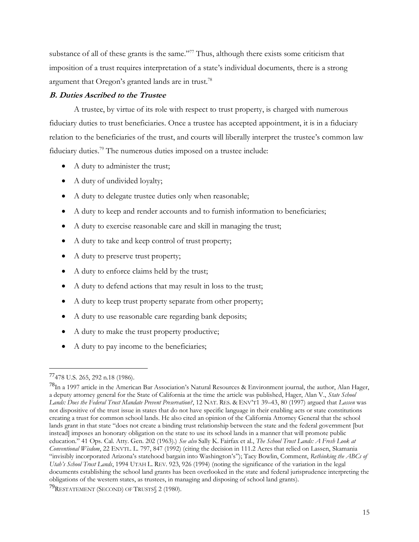substance of all of these grants is the same."<sup>77</sup> Thus, although there exists some criticism that imposition of a trust requires interpretation of a state's individual documents, there is a strong argument that Oregon's granted lands are in trust.<sup>78</sup>

# **B. Duties Ascribed to the Trustee**

A trustee, by virtue of its role with respect to trust property, is charged with numerous fiduciary duties to trust beneficiaries. Once a trustee has accepted appointment, it is in a fiduciary relation to the beneficiaries of the trust, and courts will liberally interpret the trustee's common law fiduciary duties. <sup>79</sup> The numerous duties imposed on a trustee include:

- A duty to administer the trust;
- A duty of undivided loyalty;
- A duty to delegate trustee duties only when reasonable;
- A duty to keep and render accounts and to furnish information to beneficiaries;
- A duty to exercise reasonable care and skill in managing the trust;
- A duty to take and keep control of trust property;
- A duty to preserve trust property;
- A duty to enforce claims held by the trust;
- A duty to defend actions that may result in loss to the trust;
- A duty to keep trust property separate from other property;
- A duty to use reasonable care regarding bank deposits;
- A duty to make the trust property productive;
- A duty to pay income to the beneficiaries;

<sup>77</sup>478 U.S. 265, 292 n.18 (1986).

<sup>&</sup>lt;sup>78</sup>In a 1997 article in the American Bar Association's Natural Resources & Environment journal, the author, Alan Hager, a deputy attorney general for the State of California at the time the article was published, Hager, Alan V., *State School Lands: Does the Federal Trust Mandate Prevent Preservation?*, 12 NAT. RES. & ENV'T1 39–43, 80 (1997) argued that *Lassen* was not dispositive of the trust issue in states that do not have specific language in their enabling acts or state constitutions creating a trust for common school lands. He also cited an opinion of the California Attorney General that the school lands grant in that state "does not create a binding trust relationship between the state and the federal government [but instead] imposes an honorary obligation on the state to use its school lands in a manner that will promote public education." 41 Ops. Cal. Atty. Gen. 202 (1963).) *See also* Sally K. Fairfax et al., *The School Trust Lands: A Fresh Look at Conventional Wisdom*, 22 ENVTL. L. 797, 847 (1992) (citing the decision in 111.2 Acres that relied on Lassen, Skamania "invisibly incorporated Arizona's statehood bargain into Washington's"); Tacy Bowlin, Comment, *Rethinking the ABCs of Utah's School Trust Lands*, 1994 UTAH L. REV. 923, 926 (1994) (noting the significance of the variation in the legal documents establishing the school land grants has been overlooked in the state and federal jurisprudence interpreting the obligations of the western states, as trustees, in managing and disposing of school land grants).

<sup>79</sup>RESTATEMENT (SECOND) OF TRUSTS§ 2 (1980).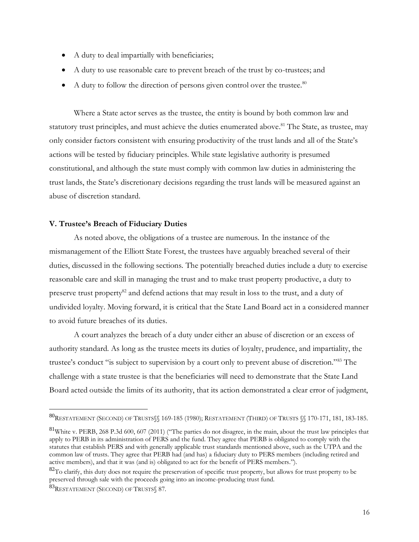- A duty to deal impartially with beneficiaries;
- A duty to use reasonable care to prevent breach of the trust by co-trustees; and
- A duty to follow the direction of persons given control over the trustee. $80$

Where a State actor serves as the trustee, the entity is bound by both common law and statutory trust principles, and must achieve the duties enumerated above.<sup>81</sup> The State, as trustee, may only consider factors consistent with ensuring productivity of the trust lands and all of the State's actions will be tested by fiduciary principles. While state legislative authority is presumed constitutional, and although the state must comply with common law duties in administering the trust lands, the State's discretionary decisions regarding the trust lands will be measured against an abuse of discretion standard.

### **V. Trustee's Breach of Fiduciary Duties**

As noted above, the obligations of a trustee are numerous. In the instance of the mismanagement of the Elliott State Forest, the trustees have arguably breached several of their duties, discussed in the following sections. The potentially breached duties include a duty to exercise reasonable care and skill in managing the trust and to make trust property productive, a duty to preserve trust property<sup>82</sup> and defend actions that may result in loss to the trust, and a duty of undivided loyalty. Moving forward, it is critical that the State Land Board act in a considered manner to avoid future breaches of its duties.

A court analyzes the breach of a duty under either an abuse of discretion or an excess of authority standard. As long as the trustee meets its duties of loyalty, prudence, and impartiality, the trustee's conduct "is subject to supervision by a court only to prevent abuse of discretion."<sup>83</sup> The challenge with a state trustee is that the beneficiaries will need to demonstrate that the State Land Board acted outside the limits of its authority, that its action demonstrated a clear error of judgment,

<sup>80</sup>RESTATEMENT (SECOND) OF TRUSTS§§ 169-185 (1980); RESTATEMENT (THIRD) OF TRUSTS §§ 170-171, 181, 183-185.

 $81$ White v. PERB, 268 P.3d 600, 607 (2011) ("The parties do not disagree, in the main, about the trust law principles that apply to PERB in its administration of PERS and the fund. They agree that PERB is obligated to comply with the statutes that establish PERS and with generally applicable trust standards mentioned above, such as the UTPA and the common law of trusts. They agree that PERB had (and has) a fiduciary duty to PERS members (including retired and active members), and that it was (and is) obligated to act for the benefit of PERS members.").

 ${}^{82}$ To clarify, this duty does not require the preservation of specific trust property, but allows for trust property to be preserved through sale with the proceeds going into an income-producing trust fund.

<sup>83</sup>RESTATEMENT (SECOND) OF TRUSTS §7.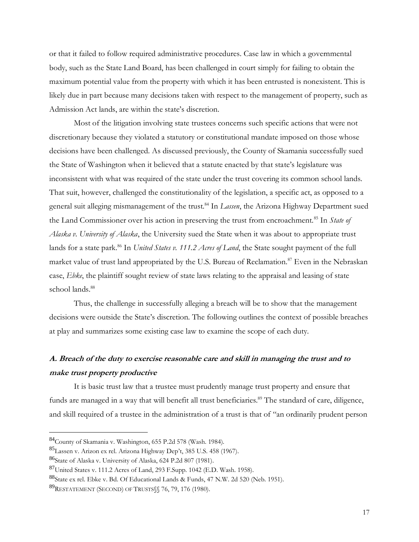or that it failed to follow required administrative procedures. Case law in which a governmental body, such as the State Land Board, has been challenged in court simply for failing to obtain the maximum potential value from the property with which it has been entrusted is nonexistent. This is likely due in part because many decisions taken with respect to the management of property, such as Admission Act lands, are within the state's discretion.

Most of the litigation involving state trustees concerns such specific actions that were not discretionary because they violated a statutory or constitutional mandate imposed on those whose decisions have been challenged. As discussed previously, the County of Skamania successfully sued the State of Washington when it believed that a statute enacted by that state's legislature was inconsistent with what was required of the state under the trust covering its common school lands. That suit, however, challenged the constitutionality of the legislation, a specific act, as opposed to a general suit alleging mismanagement of the trust.<sup>84</sup> In *Lassen*, the Arizona Highway Department sued the Land Commissioner over his action in preserving the trust from encroachment.<sup>85</sup> In *State of Alaska v. University of Alaska*, the University sued the State when it was about to appropriate trust lands for a state park.<sup>86</sup> In *United States v. 111.2 Acres of Land*, the State sought payment of the full market value of trust land appropriated by the U.S. Bureau of Reclamation.<sup>87</sup> Even in the Nebraskan case, *Ebke*, the plaintiff sought review of state laws relating to the appraisal and leasing of state school lands.<sup>88</sup>

Thus, the challenge in successfully alleging a breach will be to show that the management decisions were outside the State's discretion. The following outlines the context of possible breaches at play and summarizes some existing case law to examine the scope of each duty.

# **A. Breach of the duty to exercise reasonable care and skill in managing the trust and to make trust property productive**

It is basic trust law that a trustee must prudently manage trust property and ensure that funds are managed in a way that will benefit all trust beneficiaries.<sup>89</sup> The standard of care, diligence, and skill required of a trustee in the administration of a trust is that of "an ordinarily prudent person

<sup>84</sup>County of Skamania v. Washington, 655 P.2d 578 (Wash. 1984).

<sup>85</sup>Lassen v. Arizon ex rel. Arizona Highway Dep't, 385 U.S. 458 (1967).

<sup>86</sup>State of Alaska v. University of Alaska, 624 P.2d 807 (1981).

<sup>87</sup>United States v. 111.2 Acres of Land, 293 F.Supp. 1042 (E.D. Wash. 1958).

<sup>88</sup>State ex rel. Ebke v. Bd. Of Educational Lands & Funds, 47 N.W. 2d 520 (Neb. 1951).

<sup>89</sup>RESTATEMENT (SECOND) OF TRUSTS§§ 76, 79, 176 (1980).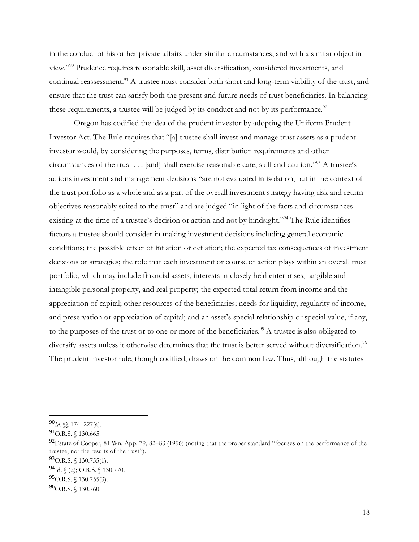in the conduct of his or her private affairs under similar circumstances, and with a similar object in view." <sup>90</sup> Prudence requires reasonable skill, asset diversification, considered investments, and continual reassessment.<sup>91</sup> A trustee must consider both short and long-term viability of the trust, and ensure that the trust can satisfy both the present and future needs of trust beneficiaries. In balancing these requirements, a trustee will be judged by its conduct and not by its performance. $92$ 

Oregon has codified the idea of the prudent investor by adopting the Uniform Prudent Investor Act. The Rule requires that "[a] trustee shall invest and manage trust assets as a prudent investor would, by considering the purposes, terms, distribution requirements and other circumstances of the trust . . . [and] shall exercise reasonable care, skill and caution." <sup>93</sup> A trustee's actions investment and management decisions "are not evaluated in isolation, but in the context of the trust portfolio as a whole and as a part of the overall investment strategy having risk and return objectives reasonably suited to the trust" and are judged "in light of the facts and circumstances existing at the time of a trustee's decision or action and not by hindsight."<sup>94</sup> The Rule identifies factors a trustee should consider in making investment decisions including general economic conditions; the possible effect of inflation or deflation; the expected tax consequences of investment decisions or strategies; the role that each investment or course of action plays within an overall trust portfolio, which may include financial assets, interests in closely held enterprises, tangible and intangible personal property, and real property; the expected total return from income and the appreciation of capital; other resources of the beneficiaries; needs for liquidity, regularity of income, and preservation or appreciation of capital; and an asset's special relationship or special value, if any, to the purposes of the trust or to one or more of the beneficiaries.<sup>95</sup> A trustee is also obligated to diversify assets unless it otherwise determines that the trust is better served without diversification.<sup>96</sup> The prudent investor rule, though codified, draws on the common law. Thus, although the statutes

<sup>90</sup>*Id.* §§ 174. 227(a).

<sup>91&</sup>lt;sub>O.R.S. § 130.665.</sub>

 $^{92}$ Estate of Cooper, 81 Wn. App. 79, 82–83 (1996) (noting that the proper standard "focuses on the performance of the trustee, not the results of the trust").

 $^{93}$ O.R.S. § 130.755(1).

 $^{94}$ Id.  $\{(2);$  O.R.S.  $\{(130.770)$ .

 $^{95}$ O.R.S. § 130.755(3).

 $^{96}$ O.R.S. § 130.760.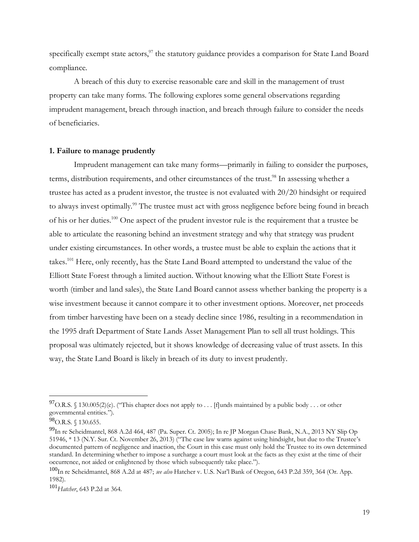specifically exempt state actors,  $97$  the statutory guidance provides a comparison for State Land Board compliance.

A breach of this duty to exercise reasonable care and skill in the management of trust property can take many forms. The following explores some general observations regarding imprudent management, breach through inaction, and breach through failure to consider the needs of beneficiaries.

### **1. Failure to manage prudently**

Imprudent management can take many forms—primarily in failing to consider the purposes, terms, distribution requirements, and other circumstances of the trust.<sup>98</sup> In assessing whether a trustee has acted as a prudent investor, the trustee is not evaluated with 20/20 hindsight or required to always invest optimally.<sup>99</sup> The trustee must act with gross negligence before being found in breach of his or her duties.<sup>100</sup> One aspect of the prudent investor rule is the requirement that a trustee be able to articulate the reasoning behind an investment strategy and why that strategy was prudent under existing circumstances. In other words, a trustee must be able to explain the actions that it takes.<sup>101</sup> Here, only recently, has the State Land Board attempted to understand the value of the Elliott State Forest through a limited auction. Without knowing what the Elliott State Forest is worth (timber and land sales), the State Land Board cannot assess whether banking the property is a wise investment because it cannot compare it to other investment options. Moreover, net proceeds from timber harvesting have been on a steady decline since 1986, resulting in a recommendation in the 1995 draft Department of State Lands Asset Management Plan to sell all trust holdings. This proposal was ultimately rejected, but it shows knowledge of decreasing value of trust assets. In this way, the State Land Board is likely in breach of its duty to invest prudently.

<sup>&</sup>lt;sup>97</sup> O.R.S. § 130.005(2)(e). ("This chapter does not apply to . . . [f]unds maintained by a public body . . . or other governmental entities.").

<sup>98</sup> O.R.S. § 130.655.

<sup>99</sup>In re Scheidmantel, 868 A.2d 464, 487 (Pa. Super. Ct. 2005); In re JP Morgan Chase Bank, N.A., 2013 NY Slip Op 51946, \* 13 (N.Y. Sur. Ct. November 26, 2013) ("The case law warns against using hindsight, but due to the Trustee's documented pattern of negligence and inaction, the Court in this case must only hold the Trustee to its own determined standard. In determining whether to impose a surcharge a court must look at the facts as they exist at the time of their occurrence, not aided or enlightened by those which subsequently take place.").

<sup>100</sup>In re Scheidmantel, 868 A.2d at 487; *see also* Hatcher v. U.S. Nat'l Bank of Oregon, 643 P.2d 359, 364 (Or. App. 1982).

<sup>101</sup>*Hatcher*, 643 P.2d at 364.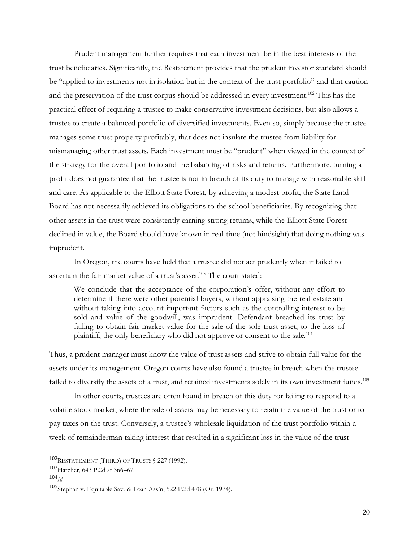Prudent management further requires that each investment be in the best interests of the trust beneficiaries. Significantly, the Restatement provides that the prudent investor standard should be "applied to investments not in isolation but in the context of the trust portfolio" and that caution and the preservation of the trust corpus should be addressed in every investment.<sup>102</sup> This has the practical effect of requiring a trustee to make conservative investment decisions, but also allows a trustee to create a balanced portfolio of diversified investments. Even so, simply because the trustee manages some trust property profitably, that does not insulate the trustee from liability for mismanaging other trust assets. Each investment must be "prudent" when viewed in the context of the strategy for the overall portfolio and the balancing of risks and returns. Furthermore, turning a profit does not guarantee that the trustee is not in breach of its duty to manage with reasonable skill and care. As applicable to the Elliott State Forest, by achieving a modest profit, the State Land Board has not necessarily achieved its obligations to the school beneficiaries. By recognizing that other assets in the trust were consistently earning strong returns, while the Elliott State Forest declined in value, the Board should have known in real-time (not hindsight) that doing nothing was imprudent.

In Oregon, the courts have held that a trustee did not act prudently when it failed to ascertain the fair market value of a trust's asset.<sup>103</sup> The court stated:

We conclude that the acceptance of the corporation's offer, without any effort to determine if there were other potential buyers, without appraising the real estate and without taking into account important factors such as the controlling interest to be sold and value of the goodwill, was imprudent. Defendant breached its trust by failing to obtain fair market value for the sale of the sole trust asset, to the loss of plaintiff, the only beneficiary who did not approve or consent to the sale.<sup>104</sup>

Thus, a prudent manager must know the value of trust assets and strive to obtain full value for the assets under its management. Oregon courts have also found a trustee in breach when the trustee failed to diversify the assets of a trust, and retained investments solely in its own investment funds.<sup>105</sup>

In other courts, trustees are often found in breach of this duty for failing to respond to a volatile stock market, where the sale of assets may be necessary to retain the value of the trust or to pay taxes on the trust. Conversely, a trustee's wholesale liquidation of the trust portfolio within a week of remainderman taking interest that resulted in a significant loss in the value of the trust

<sup>102</sup>RESTATEMENT (THIRD) OF TRUSTS § 227 (1992).

<sup>103</sup>Hatcher, 643 P.2d at 366–67.

<sup>104</sup>*Id.*

<sup>105</sup>Stephan v. Equitable Sav. & Loan Ass'n, 522 P.2d 478 (Or. 1974).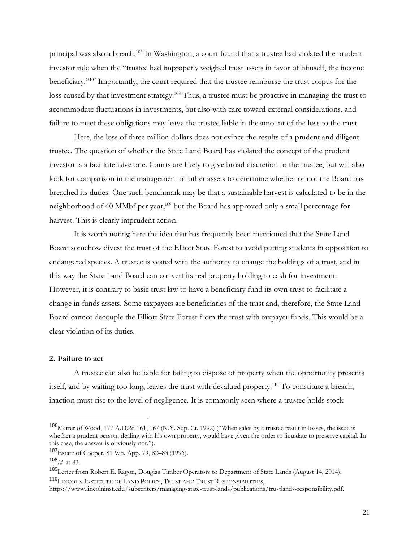principal was also a breach.<sup>106</sup> In Washington, a court found that a trustee had violated the prudent investor rule when the "trustee had improperly weighed trust assets in favor of himself, the income beneficiary."<sup>107</sup> Importantly, the court required that the trustee reimburse the trust corpus for the loss caused by that investment strategy.<sup>108</sup> Thus, a trustee must be proactive in managing the trust to accommodate fluctuations in investments, but also with care toward external considerations, and failure to meet these obligations may leave the trustee liable in the amount of the loss to the trust.

Here, the loss of three million dollars does not evince the results of a prudent and diligent trustee. The question of whether the State Land Board has violated the concept of the prudent investor is a fact intensive one. Courts are likely to give broad discretion to the trustee, but will also look for comparison in the management of other assets to determine whether or not the Board has breached its duties. One such benchmark may be that a sustainable harvest is calculated to be in the neighborhood of 40 MMbf per year,<sup>109</sup> but the Board has approved only a small percentage for harvest. This is clearly imprudent action.

It is worth noting here the idea that has frequently been mentioned that the State Land Board somehow divest the trust of the Elliott State Forest to avoid putting students in opposition to endangered species. A trustee is vested with the authority to change the holdings of a trust, and in this way the State Land Board can convert its real property holding to cash for investment. However, it is contrary to basic trust law to have a beneficiary fund its own trust to facilitate a change in funds assets. Some taxpayers are beneficiaries of the trust and, therefore, the State Land Board cannot decouple the Elliott State Forest from the trust with taxpayer funds. This would be a clear violation of its duties.

### **2. Failure to act**

A trustee can also be liable for failing to dispose of property when the opportunity presents itself, and by waiting too long, leaves the trust with devalued property.<sup>110</sup> To constitute a breach, inaction must rise to the level of negligence. It is commonly seen where a trustee holds stock

<sup>&</sup>lt;sup>106</sup>Matter of Wood, 177 A.D.2d 161, 167 (N.Y. Sup. Ct. 1992) ("When sales by a trustee result in losses, the issue is whether a prudent person, dealing with his own property, would have given the order to liquidate to preserve capital. In this case, the answer is obviously not.").

<sup>107</sup>Estate of Cooper, 81 Wn. App. 79, 82–83 (1996).

<sup>108</sup>*Id.* at 83.

<sup>&</sup>lt;sup>109</sup>Letter from Robert E. Ragon, Douglas Timber Operators to Department of State Lands (August 14, 2014). <sup>110</sup>LINCOLN INSTITUTE OF LAND POLICY, TRUST AND TRUST RESPONSIBILITIES,

https://www.lincolninst.edu/subcenters/managing-state-trust-lands/publications/trustlands-responsibility.pdf.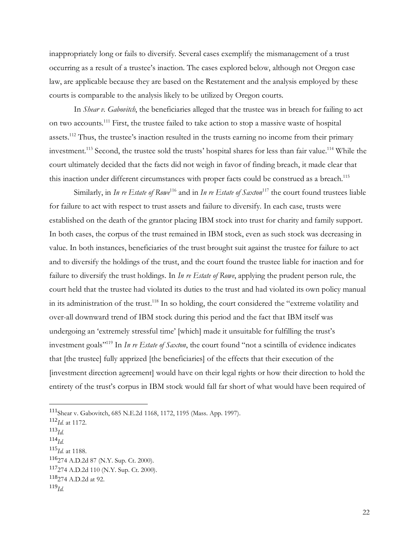inappropriately long or fails to diversify. Several cases exemplify the mismanagement of a trust occurring as a result of a trustee's inaction. The cases explored below, although not Oregon case law, are applicable because they are based on the Restatement and the analysis employed by these courts is comparable to the analysis likely to be utilized by Oregon courts.

In *Shear v. Gabovitch*, the beneficiaries alleged that the trustee was in breach for failing to act on two accounts.<sup>111</sup> First, the trustee failed to take action to stop a massive waste of hospital assets.<sup>112</sup> Thus, the trustee's inaction resulted in the trusts earning no income from their primary investment.<sup>113</sup> Second, the trustee sold the trusts' hospital shares for less than fair value.<sup>114</sup> While the court ultimately decided that the facts did not weigh in favor of finding breach, it made clear that this inaction under different circumstances with proper facts could be construed as a breach.<sup>115</sup>

Similarly, in *In re Estate of Rowe*<sup>116</sup> and in *In re Estate of Saxton*<sup>117</sup> the court found trustees liable for failure to act with respect to trust assets and failure to diversify. In each case, trusts were established on the death of the grantor placing IBM stock into trust for charity and family support. In both cases, the corpus of the trust remained in IBM stock, even as such stock was decreasing in value. In both instances, beneficiaries of the trust brought suit against the trustee for failure to act and to diversify the holdings of the trust, and the court found the trustee liable for inaction and for failure to diversify the trust holdings. In *In re Estate of Rowe*, applying the prudent person rule, the court held that the trustee had violated its duties to the trust and had violated its own policy manual in its administration of the trust.<sup>118</sup> In so holding, the court considered the "extreme volatility and over-all downward trend of IBM stock during this period and the fact that IBM itself was undergoing an 'extremely stressful time' [which] made it unsuitable for fulfilling the trust's investment goals" <sup>119</sup> In *In re Estate of Saxton*, the court found "not a scintilla of evidence indicates that [the trustee] fully apprized [the beneficiaries] of the effects that their execution of the [investment direction agreement] would have on their legal rights or how their direction to hold the entirety of the trust's corpus in IBM stock would fall far short of what would have been required of

- <sup>114</sup>*Id.*
- <sup>115</sup>*Id.* at 1188.

<sup>116</sup>274 A.D.2d 87 (N.Y. Sup. Ct. 2000).

<sup>111</sup>Shear v. Gabovitch, 685 N.E.2d 1168, 1172, 1195 (Mass. App. 1997).

<sup>112</sup>*Id.* at 1172.

<sup>113</sup>*Id.*

 $117274$  A.D.2d 110 (N.Y. Sup. Ct. 2000).

<sup>118</sup>274 A.D.2d at 92.

<sup>119</sup>*Id.*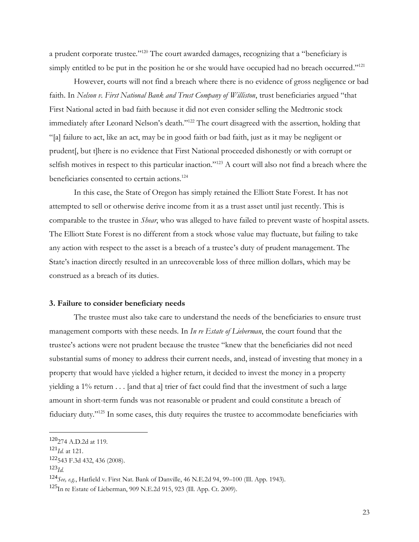a prudent corporate trustee."<sup>120</sup> The court awarded damages, recognizing that a "beneficiary is simply entitled to be put in the position he or she would have occupied had no breach occurred."<sup>121</sup>

However, courts will not find a breach where there is no evidence of gross negligence or bad faith. In *Nelson v. First National Bank and Trust Company of Williston*, trust beneficiaries argued "that First National acted in bad faith because it did not even consider selling the Medtronic stock immediately after Leonard Nelson's death."<sup>122</sup> The court disagreed with the assertion, holding that "[a] failure to act, like an act, may be in good faith or bad faith, just as it may be negligent or prudent[, but t]here is no evidence that First National proceeded dishonestly or with corrupt or selfish motives in respect to this particular inaction."<sup>123</sup> A court will also not find a breach where the beneficiaries consented to certain actions.<sup>124</sup>

In this case, the State of Oregon has simply retained the Elliott State Forest. It has not attempted to sell or otherwise derive income from it as a trust asset until just recently. This is comparable to the trustee in *Shear*, who was alleged to have failed to prevent waste of hospital assets. The Elliott State Forest is no different from a stock whose value may fluctuate, but failing to take any action with respect to the asset is a breach of a trustee's duty of prudent management. The State's inaction directly resulted in an unrecoverable loss of three million dollars, which may be construed as a breach of its duties.

### **3. Failure to consider beneficiary needs**

The trustee must also take care to understand the needs of the beneficiaries to ensure trust management comports with these needs. In *In re Estate of Lieberman*, the court found that the trustee's actions were not prudent because the trustee "knew that the beneficiaries did not need substantial sums of money to address their current needs, and, instead of investing that money in a property that would have yielded a higher return, it decided to invest the money in a property yielding a 1% return . . . [and that a] trier of fact could find that the investment of such a large amount in short-term funds was not reasonable or prudent and could constitute a breach of fiduciary duty."<sup>125</sup> In some cases, this duty requires the trustee to accommodate beneficiaries with

<sup>120</sup>274 A.D.2d at 119.

<sup>121</sup>*Id.* at 121.

<sup>122</sup>543 F.3d 432, 436 (2008).

<sup>123</sup>*Id.*

<sup>124</sup>*See, e.g.*, Hatfield v. First Nat. Bank of Danville, 46 N.E.2d 94, 99–100 (Ill. App. 1943).

 $125$ In re Estate of Lieberman, 909 N.E.2d 915, 923 (Ill. App. Ct. 2009).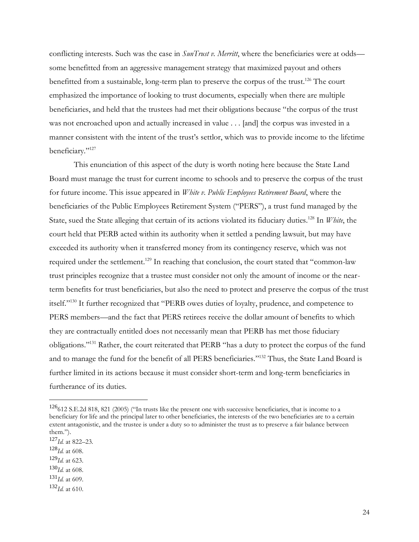conflicting interests. Such was the case in *SunTrust v. Merritt*, where the beneficiaries were at odds some benefitted from an aggressive management strategy that maximized payout and others benefitted from a sustainable, long-term plan to preserve the corpus of the trust.<sup>126</sup> The court emphasized the importance of looking to trust documents, especially when there are multiple beneficiaries, and held that the trustees had met their obligations because "the corpus of the trust was not encroached upon and actually increased in value . . . [and] the corpus was invested in a manner consistent with the intent of the trust's settlor, which was to provide income to the lifetime beneficiary."<sup>127</sup>

This enunciation of this aspect of the duty is worth noting here because the State Land Board must manage the trust for current income to schools and to preserve the corpus of the trust for future income. This issue appeared in *White v. Public Employees Retirement Board*, where the beneficiaries of the Public Employees Retirement System ("PERS"), a trust fund managed by the State, sued the State alleging that certain of its actions violated its fiduciary duties.<sup>128</sup> In *White*, the court held that PERB acted within its authority when it settled a pending lawsuit, but may have exceeded its authority when it transferred money from its contingency reserve, which was not required under the settlement.<sup>129</sup> In reaching that conclusion, the court stated that "common-law" trust principles recognize that a trustee must consider not only the amount of income or the nearterm benefits for trust beneficiaries, but also the need to protect and preserve the corpus of the trust itself."<sup>130</sup> It further recognized that "PERB owes duties of loyalty, prudence, and competence to PERS members—and the fact that PERS retirees receive the dollar amount of benefits to which they are contractually entitled does not necessarily mean that PERB has met those fiduciary obligations." <sup>131</sup> Rather, the court reiterated that PERB "has a duty to protect the corpus of the fund and to manage the fund for the benefit of all PERS beneficiaries."<sup>132</sup> Thus, the State Land Board is further limited in its actions because it must consider short-term and long-term beneficiaries in furtherance of its duties.

- <sup>129</sup>*Id.* at 623.
- $130$ *Id.* at 608.
- $^{131}$ *Id.* at 609.
- $132$ *Id.* at 610.

 $126612$  S.E.2d 818, 821 (2005) ("In trusts like the present one with successive beneficiaries, that is income to a beneficiary for life and the principal later to other beneficiaries, the interests of the two beneficiaries are to a certain extent antagonistic, and the trustee is under a duty so to administer the trust as to preserve a fair balance between them.").

<sup>127</sup>*Id.* at 822–23.

 $128$ *Id.* at 608.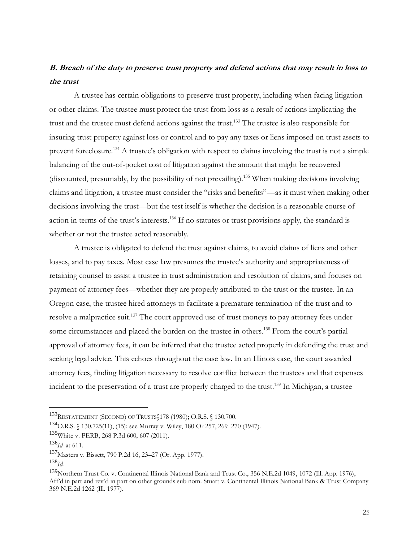# **B. Breach of the duty to preserve trust property and defend actions that may result in loss to the trust**

A trustee has certain obligations to preserve trust property, including when facing litigation or other claims. The trustee must protect the trust from loss as a result of actions implicating the trust and the trustee must defend actions against the trust.<sup>133</sup> The trustee is also responsible for insuring trust property against loss or control and to pay any taxes or liens imposed on trust assets to prevent foreclosure.<sup>134</sup> A trustee's obligation with respect to claims involving the trust is not a simple balancing of the out-of-pocket cost of litigation against the amount that might be recovered (discounted, presumably, by the possibility of not prevailing).<sup>135</sup> When making decisions involving claims and litigation, a trustee must consider the "risks and benefits"—as it must when making other decisions involving the trust—but the test itself is whether the decision is a reasonable course of action in terms of the trust's interests.<sup>136</sup> If no statutes or trust provisions apply, the standard is whether or not the trustee acted reasonably.

A trustee is obligated to defend the trust against claims, to avoid claims of liens and other losses, and to pay taxes. Most case law presumes the trustee's authority and appropriateness of retaining counsel to assist a trustee in trust administration and resolution of claims, and focuses on payment of attorney fees—whether they are properly attributed to the trust or the trustee. In an Oregon case, the trustee hired attorneys to facilitate a premature termination of the trust and to resolve a malpractice suit.<sup>137</sup> The court approved use of trust moneys to pay attorney fees under some circumstances and placed the burden on the trustee in others.<sup>138</sup> From the court's partial approval of attorney fees, it can be inferred that the trustee acted properly in defending the trust and seeking legal advice. This echoes throughout the case law. In an Illinois case, the court awarded attorney fees, finding litigation necessary to resolve conflict between the trustees and that expenses incident to the preservation of a trust are properly charged to the trust.<sup>139</sup> In Michigan, a trustee

<sup>133</sup>RESTATEMENT (SECOND) OF TRUSTS§178 (1980); O.R.S. § 130.700.

<sup>134</sup>O.R.S. § 130.725(11), (15); see Murray v. Wiley, 180 Or 257, 269–270 (1947).

<sup>135</sup>White v. PERB, 268 P.3d 600, 607 (2011).

<sup>136</sup>*Id.* at 611.

<sup>137</sup>Masters v. Bissett, 790 P.2d 16, 23–27 (Or. App. 1977).

<sup>138</sup>*Id.*

<sup>&</sup>lt;sup>139</sup>Northern Trust Co. v. Continental Illinois National Bank and Trust Co., 356 N.E.2d 1049, 1072 (Ill. App. 1976), Aff'd in part and rev'd in part on other grounds sub nom. Stuart v. Continental Illinois National Bank & Trust Company 369 N.E.2d 1262 (Ill. 1977).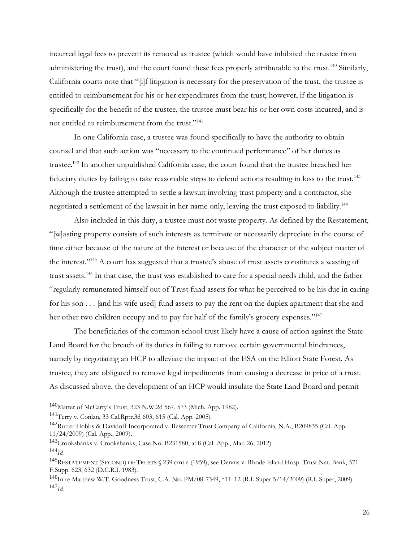incurred legal fees to prevent its removal as trustee (which would have inhibited the trustee from administering the trust), and the court found these fees properly attributable to the trust.<sup>140</sup> Similarly, California courts note that "[i]f litigation is necessary for the preservation of the trust, the trustee is entitled to reimbursement for his or her expenditures from the trust; however, if the litigation is specifically for the benefit of the trustee, the trustee must bear his or her own costs incurred, and is not entitled to reimbursement from the trust."<sup>141</sup>

In one California case, a trustee was found specifically to have the authority to obtain counsel and that such action was "necessary to the continued performance" of her duties as trustee.<sup>142</sup> In another unpublished California case, the court found that the trustee breached her fiduciary duties by failing to take reasonable steps to defend actions resulting in loss to the trust.<sup>143</sup> Although the trustee attempted to settle a lawsuit involving trust property and a contractor, she negotiated a settlement of the lawsuit in her name only, leaving the trust exposed to liability.<sup>144</sup>

Also included in this duty, a trustee must not waste property. As defined by the Restatement, "[w]asting property consists of such interests as terminate or necessarily depreciate in the course of time either because of the nature of the interest or because of the character of the subject matter of the interest."<sup>145</sup> A court has suggested that a trustee's abuse of trust assets constitutes a wasting of trust assets.<sup>146</sup> In that case, the trust was established to care for a special needs child, and the father "regularly remunerated himself out of Trust fund assets for what he perceived to be his due in caring for his son . . . [and his wife used] fund assets to pay the rent on the duplex apartment that she and her other two children occupy and to pay for half of the family's grocery expenses."<sup>147</sup>

The beneficiaries of the common school trust likely have a cause of action against the State Land Board for the breach of its duties in failing to remove certain governmental hindrances, namely by negotiating an HCP to alleviate the impact of the ESA on the Elliott State Forest. As trustee, they are obligated to remove legal impediments from causing a decrease in price of a trust. As discussed above, the development of an HCP would insulate the State Land Board and permit

<sup>140</sup>Matter of McCarty's Trust, 323 N.W.2d 567, 573 (Mich. App. 1982).

<sup>141</sup>Terry v. Conlan, 33 Cal.Rptr.3d 603, 615 (Cal. App. 2005).

<sup>142</sup>Rutter Hobbs & Davidoff Incorporated v. Bessemer Trust Company of California, N.A., B209835 (Cal. App. 11/24/2009) (Cal. App., 2009).

<sup>143</sup>Crookshanks v. Crookshanks, Case No. B231580, at 8 (Cal. App., Mar. 26, 2012). <sup>144</sup>*Id.*

<sup>145</sup>RESTATEMENT (SECOND) OF TRUSTS § 239 cmt a (1959); see Dennis v. Rhode Island Hosp. Trust Nat. Bank, 571 F.Supp. 623, 632 (D.C.R.I. 1983).

<sup>146</sup>In re Matthew W.T. Goodness Trust, C.A. No. PM/08-7349, \*11–12 (R.I. Super 5/14/2009) (R.I. Super, 2009). <sup>147</sup>*Id.*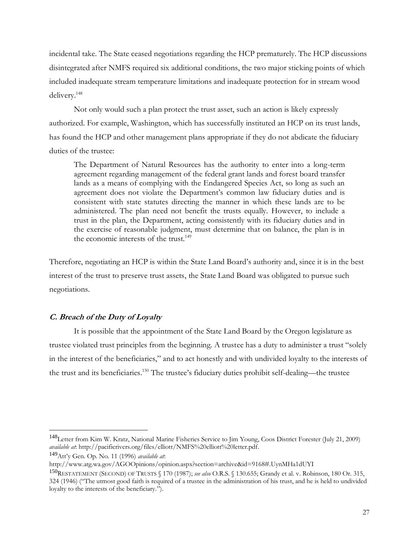incidental take. The State ceased negotiations regarding the HCP prematurely. The HCP discussions disintegrated after NMFS required six additional conditions, the two major sticking points of which included inadequate stream temperature limitations and inadequate protection for in stream wood delivery.<sup>148</sup>

Not only would such a plan protect the trust asset, such an action is likely expressly authorized. For example, Washington, which has successfully instituted an HCP on its trust lands, has found the HCP and other management plans appropriate if they do not abdicate the fiduciary duties of the trustee:

The Department of Natural Resources has the authority to enter into a long-term agreement regarding management of the federal grant lands and forest board transfer lands as a means of complying with the Endangered Species Act, so long as such an agreement does not violate the Department's common law fiduciary duties and is consistent with state statutes directing the manner in which these lands are to be administered. The plan need not benefit the trusts equally. However, to include a trust in the plan, the Department, acting consistently with its fiduciary duties and in the exercise of reasonable judgment, must determine that on balance, the plan is in the economic interests of the trust.<sup>149</sup>

Therefore, negotiating an HCP is within the State Land Board's authority and, since it is in the best interest of the trust to preserve trust assets, the State Land Board was obligated to pursue such negotiations.

# **C. Breach of the Duty of Loyalty**

It is possible that the appointment of the State Land Board by the Oregon legislature as trustee violated trust principles from the beginning. A trustee has a duty to administer a trust "solely in the interest of the beneficiaries," and to act honestly and with undivided loyalty to the interests of the trust and its beneficiaries. <sup>150</sup> The trustee's fiduciary duties prohibit self-dealing—the trustee

<sup>&</sup>lt;sup>148</sup>Letter from Kim W. Kratz, National Marine Fisheries Service to Jim Young, Coos District Forester (July 21, 2009) *available at*: http://pacificrivers.org/files/elliott/NMFS%20elliott%20letter.pdf.

<sup>149</sup>Att'y Gen. Op. No. 11 (1996) *available at*:

http://www.atg.wa.gov/AGOOpinions/opinion.aspx?section=archive&id=9168#.UynMHa1dUYI

<sup>150</sup>RESTATEMENT (SECOND) OF TRUSTS § 170 (1987); *see also* O.R.S. § 130.655; Grandy et al. v. Robinson, 180 Or. 315, 324 (1946) ("The utmost good faith is required of a trustee in the administration of his trust, and he is held to undivided loyalty to the interests of the beneficiary.").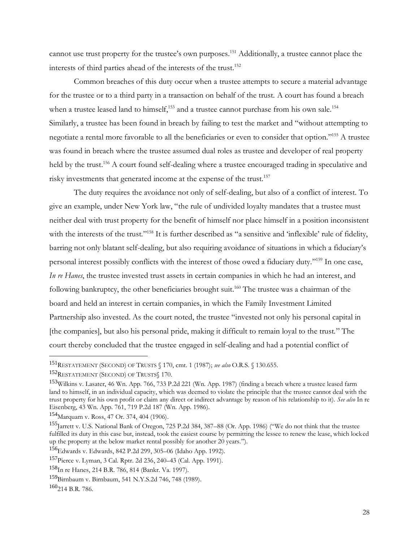cannot use trust property for the trustee's own purposes.<sup>151</sup> Additionally, a trustee cannot place the interests of third parties ahead of the interests of the trust.<sup>152</sup>

Common breaches of this duty occur when a trustee attempts to secure a material advantage for the trustee or to a third party in a transaction on behalf of the trust. A court has found a breach when a trustee leased land to himself,<sup>153</sup> and a trustee cannot purchase from his own sale.<sup>154</sup> Similarly, a trustee has been found in breach by failing to test the market and "without attempting to negotiate a rental more favorable to all the beneficiaries or even to consider that option." <sup>155</sup> A trustee was found in breach where the trustee assumed dual roles as trustee and developer of real property held by the trust.<sup>156</sup> A court found self-dealing where a trustee encouraged trading in speculative and risky investments that generated income at the expense of the trust.<sup>157</sup>

The duty requires the avoidance not only of self-dealing, but also of a conflict of interest. To give an example, under New York law, "the rule of undivided loyalty mandates that a trustee must neither deal with trust property for the benefit of himself nor place himself in a position inconsistent with the interests of the trust."<sup>158</sup> It is further described as "a sensitive and 'inflexible' rule of fidelity, barring not only blatant self-dealing, but also requiring avoidance of situations in which a fiduciary's personal interest possibly conflicts with the interest of those owed a fiduciary duty."<sup>159</sup> In one case, *In re Hanes*, the trustee invested trust assets in certain companies in which he had an interest, and following bankruptcy, the other beneficiaries brought suit. <sup>160</sup> The trustee was a chairman of the board and held an interest in certain companies, in which the Family Investment Limited Partnership also invested. As the court noted, the trustee "invested not only his personal capital in [the companies], but also his personal pride, making it difficult to remain loyal to the trust." The court thereby concluded that the trustee engaged in self-dealing and had a potential conflict of

<sup>151</sup>RESTATEMENT (SECOND) OF TRUSTS § 170, cmt. 1 (1987); *see also* O.R.S. § 130.655.

<sup>152</sup>RESTATEMENT (SECOND) OF TRUSTS§ 170.

<sup>&</sup>lt;sup>153</sup>Wilkins v. Lasater, 46 Wn. App. 766, 733 P.2d 221 (Wn. App. 1987) (finding a breach where a trustee leased farm land to himself, in an individual capacity, which was deemed to violate the principle that the trustee cannot deal with the trust property for his own profit or claim any direct or indirect advantage by reason of his relationship to it). *See also* In re Eisenberg, 43 Wn. App. 761, 719 P.2d 187 (Wn. App. 1986).

<sup>154</sup>Marquam v. Ross, 47 Or. 374, 404 (1906).

<sup>155</sup>Jarrett v. U.S. National Bank of Oregon, 725 P.2d 384, 387–88 (Or. App. 1986) ("We do not think that the trustee fulfilled its duty in this case but, instead, took the easiest course by permitting the lessee to renew the lease, which locked up the property at the below market rental possibly for another 20 years.").

<sup>156</sup>Edwards v. Edwards, 842 P.2d 299, 305–06 (Idaho App. 1992).

<sup>157</sup>Pierce v. Lyman, 3 Cal. Rptr. 2d 236, 240–43 (Cal. App. 1991).

<sup>158</sup>In re Hanes, 214 B.R. 786, 814 (Bankr. Va. 1997).

<sup>159</sup>Birnbaum v. Birnbaum, 541 N.Y.S.2d 746, 748 (1989).

 $160$ <sub>214</sub> B.R. 786.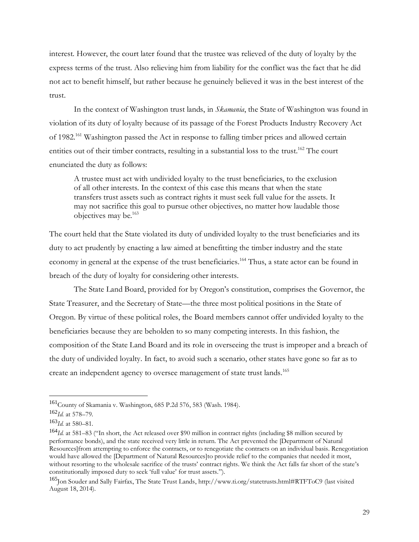interest. However, the court later found that the trustee was relieved of the duty of loyalty by the express terms of the trust. Also relieving him from liability for the conflict was the fact that he did not act to benefit himself, but rather because he genuinely believed it was in the best interest of the trust.

In the context of Washington trust lands, in *Skamania*, the State of Washington was found in violation of its duty of loyalty because of its passage of the Forest Products Industry Recovery Act of 1982.<sup>161</sup> Washington passed the Act in response to falling timber prices and allowed certain entities out of their timber contracts, resulting in a substantial loss to the trust.<sup>162</sup> The court enunciated the duty as follows:

A trustee must act with undivided loyalty to the trust beneficiaries, to the exclusion of all other interests. In the context of this case this means that when the state transfers trust assets such as contract rights it must seek full value for the assets. It may not sacrifice this goal to pursue other objectives, no matter how laudable those objectives may be.<sup>163</sup>

The court held that the State violated its duty of undivided loyalty to the trust beneficiaries and its duty to act prudently by enacting a law aimed at benefitting the timber industry and the state economy in general at the expense of the trust beneficiaries.<sup>164</sup> Thus, a state actor can be found in breach of the duty of loyalty for considering other interests.

The State Land Board, provided for by Oregon's constitution, comprises the Governor, the State Treasurer, and the Secretary of State—the three most political positions in the State of Oregon. By virtue of these political roles, the Board members cannot offer undivided loyalty to the beneficiaries because they are beholden to so many competing interests. In this fashion, the composition of the State Land Board and its role in overseeing the trust is improper and a breach of the duty of undivided loyalty. In fact, to avoid such a scenario, other states have gone so far as to create an independent agency to oversee management of state trust lands.<sup>165</sup>

<sup>161</sup>County of Skamania v. Washington, 685 P.2d 576, 583 (Wash. 1984).

<sup>162</sup>*Id.* at 578–79.

<sup>163</sup>*Id.* at 580–81.

<sup>164</sup>*Id.* at 581–83 ("In short, the Act released over \$90 million in contract rights (including \$8 million secured by performance bonds), and the state received very little in return. The Act prevented the [Department of Natural Resources]from attempting to enforce the contracts, or to renegotiate the contracts on an individual basis. Renegotiation would have allowed the [Department of Natural Resources]to provide relief to the companies that needed it most, without resorting to the wholesale sacrifice of the trusts' contract rights. We think the Act falls far short of the state's constitutionally imposed duty to seek 'full value' for trust assets.").

<sup>165</sup>Jon Souder and Sally Fairfax, The State Trust Lands, http://www.ti.org/statetrusts.html#RTFToC9 (last visited August 18, 2014).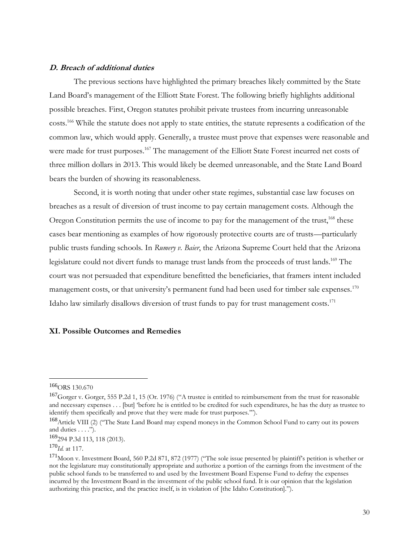## **D. Breach of additional duties**

The previous sections have highlighted the primary breaches likely committed by the State Land Board's management of the Elliott State Forest. The following briefly highlights additional possible breaches. First, Oregon statutes prohibit private trustees from incurring unreasonable costs.<sup>166</sup> While the statute does not apply to state entities, the statute represents a codification of the common law, which would apply. Generally, a trustee must prove that expenses were reasonable and were made for trust purposes.<sup>167</sup> The management of the Elliott State Forest incurred net costs of three million dollars in 2013. This would likely be deemed unreasonable, and the State Land Board bears the burden of showing its reasonableness.

Second, it is worth noting that under other state regimes, substantial case law focuses on breaches as a result of diversion of trust income to pay certain management costs. Although the Oregon Constitution permits the use of income to pay for the management of the trust,<sup>168</sup> these cases bear mentioning as examples of how rigorously protective courts are of trusts—particularly public trusts funding schools. In *Rumery v. Baier*, the Arizona Supreme Court held that the Arizona legislature could not divert funds to manage trust lands from the proceeds of trust lands.<sup>169</sup> The court was not persuaded that expenditure benefitted the beneficiaries, that framers intent included management costs, or that university's permanent fund had been used for timber sale expenses.<sup>170</sup> Idaho law similarly disallows diversion of trust funds to pay for trust management costs.<sup>171</sup>

### **XI. Possible Outcomes and Remedies**

 $166$ ORS 130.670

 $^{167}$ Gorger v. Gorger, 555 P.2d 1, 15 (Or. 1976) ("A trustee is entitled to reimbursement from the trust for reasonable and necessary expenses . . . [but] 'before he is entitled to be credited for such expenditures, he has the duty as trustee to identify them specifically and prove that they were made for trust purposes.'").

<sup>168</sup>Article VIII (2) ("The State Land Board may expend moneys in the Common School Fund to carry out its powers and duties . . . .").

<sup>169</sup>294 P.3d 113, 118 (2013).

<sup>170</sup>*Id.* at 117.

<sup>171</sup>Moon v. Investment Board, 560 P.2d 871, 872 (1977) ("The sole issue presented by plaintiff's petition is whether or not the legislature may constitutionally appropriate and authorize a portion of the earnings from the investment of the public school funds to be transferred to and used by the Investment Board Expense Fund to defray the expenses incurred by the Investment Board in the investment of the public school fund. It is our opinion that the legislation authorizing this practice, and the practice itself, is in violation of [the Idaho Constitution].").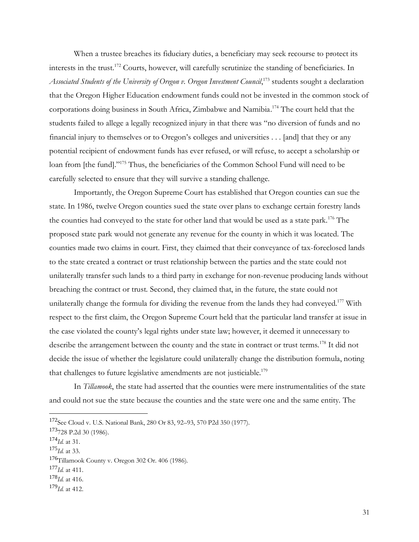When a trustee breaches its fiduciary duties, a beneficiary may seek recourse to protect its interests in the trust.<sup>172</sup> Courts, however, will carefully scrutinize the standing of beneficiaries. In *Associated Students of the University of Oregon v. Oregon Investment Council*, <sup>173</sup> students sought a declaration that the Oregon Higher Education endowment funds could not be invested in the common stock of corporations doing business in South Africa, Zimbabwe and Namibia. <sup>174</sup> The court held that the students failed to allege a legally recognized injury in that there was "no diversion of funds and no financial injury to themselves or to Oregon's colleges and universities . . . [and] that they or any potential recipient of endowment funds has ever refused, or will refuse, to accept a scholarship or loan from [the fund]."<sup>175</sup> Thus, the beneficiaries of the Common School Fund will need to be carefully selected to ensure that they will survive a standing challenge.

Importantly, the Oregon Supreme Court has established that Oregon counties can sue the state. In 1986, twelve Oregon counties sued the state over plans to exchange certain forestry lands the counties had conveyed to the state for other land that would be used as a state park.<sup>176</sup> The proposed state park would not generate any revenue for the county in which it was located. The counties made two claims in court. First, they claimed that their conveyance of tax-foreclosed lands to the state created a contract or trust relationship between the parties and the state could not unilaterally transfer such lands to a third party in exchange for non-revenue producing lands without breaching the contract or trust. Second, they claimed that, in the future, the state could not unilaterally change the formula for dividing the revenue from the lands they had conveyed.<sup>177</sup> With respect to the first claim, the Oregon Supreme Court held that the particular land transfer at issue in the case violated the county's legal rights under state law; however, it deemed it unnecessary to describe the arrangement between the county and the state in contract or trust terms.<sup>178</sup> It did not decide the issue of whether the legislature could unilaterally change the distribution formula, noting that challenges to future legislative amendments are not justiciable.<sup>179</sup>

In *Tillamook*, the state had asserted that the counties were mere instrumentalities of the state and could not sue the state because the counties and the state were one and the same entity. The

<sup>172</sup>See Cloud v. U.S. National Bank, 280 Or 83, 92–93, 570 P2d 350 (1977).

<sup>173</sup>728 P.2d 30 (1986).

<sup>174</sup>*Id.* at 31.

<sup>175</sup>*Id.* at 33.

<sup>176</sup>Tillamook County v. Oregon 302 Or. 406 (1986).

<sup>177</sup>*Id.* at 411.

<sup>178</sup>*Id.* at 416.

<sup>179</sup>*Id.* at 412.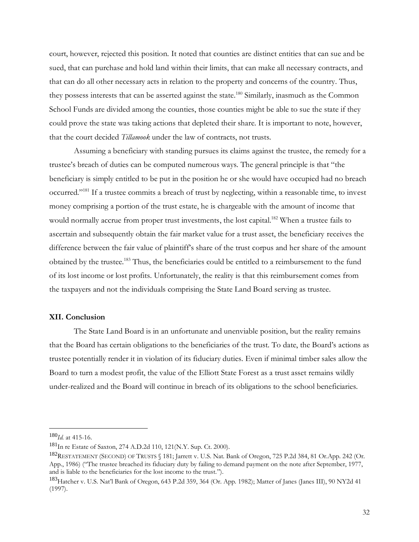court, however, rejected this position. It noted that counties are distinct entities that can sue and be sued, that can purchase and hold land within their limits, that can make all necessary contracts, and that can do all other necessary acts in relation to the property and concerns of the country. Thus, they possess interests that can be asserted against the state.<sup>180</sup> Similarly, inasmuch as the Common School Funds are divided among the counties, those counties might be able to sue the state if they could prove the state was taking actions that depleted their share. It is important to note, however, that the court decided *Tillamook* under the law of contracts, not trusts.

Assuming a beneficiary with standing pursues its claims against the trustee, the remedy for a trustee's breach of duties can be computed numerous ways. The general principle is that "the beneficiary is simply entitled to be put in the position he or she would have occupied had no breach occurred."<sup>181</sup> If a trustee commits a breach of trust by neglecting, within a reasonable time, to invest money comprising a portion of the trust estate, he is chargeable with the amount of income that would normally accrue from proper trust investments, the lost capital.<sup>182</sup> When a trustee fails to ascertain and subsequently obtain the fair market value for a trust asset, the beneficiary receives the difference between the fair value of plaintiff's share of the trust corpus and her share of the amount obtained by the trustee.<sup>183</sup> Thus, the beneficiaries could be entitled to a reimbursement to the fund of its lost income or lost profits. Unfortunately, the reality is that this reimbursement comes from the taxpayers and not the individuals comprising the State Land Board serving as trustee.

# **XII. Conclusion**

The State Land Board is in an unfortunate and unenviable position, but the reality remains that the Board has certain obligations to the beneficiaries of the trust. To date, the Board's actions as trustee potentially render it in violation of its fiduciary duties. Even if minimal timber sales allow the Board to turn a modest profit, the value of the Elliott State Forest as a trust asset remains wildly under-realized and the Board will continue in breach of its obligations to the school beneficiaries.

<sup>180</sup>*Id.* at 415-16.

<sup>181</sup>In re Estate of Saxton, 274 A.D.2d 110, 121(N.Y. Sup. Ct. 2000).

<sup>182</sup>RESTATEMENT (SECOND) OF TRUSTS § 181; Jarrett v. U.S. Nat. Bank of Oregon, 725 P.2d 384, 81 Or.App. 242 (Or. App., 1986) ("The trustee breached its fiduciary duty by failing to demand payment on the note after September, 1977, and is liable to the beneficiaries for the lost income to the trust.").

<sup>&</sup>lt;sup>183</sup>Hatcher v. U.S. Nat'l Bank of Oregon, 643 P.2d 359, 364 (Or. App. 1982); Matter of Janes (Janes III), 90 NY2d 41 (1997).